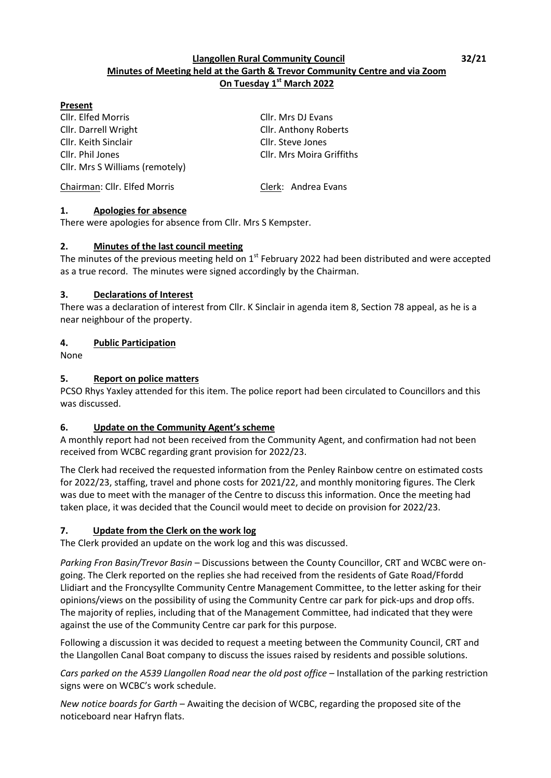## **Llangollen Rural Community Council 32/21 Minutes of Meeting held at the Garth & Trevor Community Centre and via Zoom On Tuesday 1 st March 2022**

#### **Present**

Cllr. Elfed Morris Cllr. Mrs DJ Evans Cllr. Darrell Wright Cllr. Anthony Roberts Cllr. Keith Sinclair Cllr. Steve Jones Cllr. Phil Jones Cllr. Mrs Moira Griffiths Cllr. Mrs S Williams (remotely)

Chairman: Cllr. Elfed Morris Clerk: Andrea Evans

#### **1. Apologies for absence**

There were apologies for absence from Cllr. Mrs S Kempster.

#### **2. Minutes of the last council meeting**

The minutes of the previous meeting held on  $1<sup>st</sup>$  February 2022 had been distributed and were accepted as a true record. The minutes were signed accordingly by the Chairman.

#### **3. Declarations of Interest**

There was a declaration of interest from Cllr. K Sinclair in agenda item 8, Section 78 appeal, as he is a near neighbour of the property.

## **4. Public Participation**

None

## **5. Report on police matters**

PCSO Rhys Yaxley attended for this item. The police report had been circulated to Councillors and this was discussed.

## **6. Update on the Community Agent's scheme**

A monthly report had not been received from the Community Agent, and confirmation had not been received from WCBC regarding grant provision for 2022/23.

The Clerk had received the requested information from the Penley Rainbow centre on estimated costs for 2022/23, staffing, travel and phone costs for 2021/22, and monthly monitoring figures. The Clerk was due to meet with the manager of the Centre to discuss this information. Once the meeting had taken place, it was decided that the Council would meet to decide on provision for 2022/23.

## **7. Update from the Clerk on the work log**

The Clerk provided an update on the work log and this was discussed.

*Parking Fron Basin/Trevor Basin* – Discussions between the County Councillor, CRT and WCBC were ongoing. The Clerk reported on the replies she had received from the residents of Gate Road/Ffordd Llidiart and the Froncysyllte Community Centre Management Committee, to the letter asking for their opinions/views on the possibility of using the Community Centre car park for pick-ups and drop offs. The majority of replies, including that of the Management Committee, had indicated that they were against the use of the Community Centre car park for this purpose.

Following a discussion it was decided to request a meeting between the Community Council, CRT and the Llangollen Canal Boat company to discuss the issues raised by residents and possible solutions.

*Cars parked on the A539 Llangollen Road near the old post office* – Installation of the parking restriction signs were on WCBC's work schedule.

*New notice boards for Garth* – Awaiting the decision of WCBC, regarding the proposed site of the noticeboard near Hafryn flats.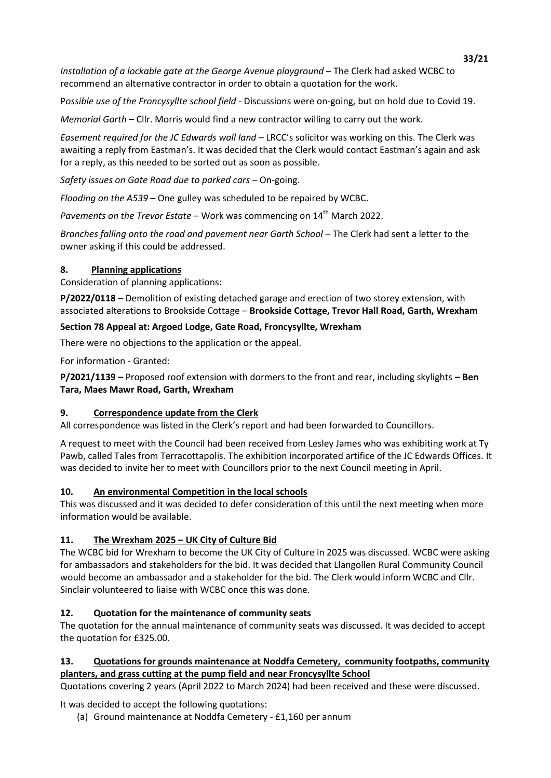**33/21** *Installation of a lockable gate at the George Avenue playground* – The Clerk had asked WCBC to recommend an alternative contractor in order to obtain a quotation for the work.

P*ossible use of the Froncysyllte school field* - Discussions were on-going, but on hold due to Covid 19.

*Memorial Garth* – Cllr. Morris would find a new contractor willing to carry out the work.

*Easement required for the JC Edwards wall land* – LRCC's solicitor was working on this. The Clerk was awaiting a reply from Eastman's. It was decided that the Clerk would contact Eastman's again and ask for a reply, as this needed to be sorted out as soon as possible.

*Safety issues on Gate Road due to parked cars* – On-going.

*Flooding on the A539* – One gulley was scheduled to be repaired by WCBC.

*Pavements on the Trevor Estate* – Work was commencing on 14<sup>th</sup> March 2022.

*Branches falling onto the road and pavement near Garth School* – The Clerk had sent a letter to the owner asking if this could be addressed.

# **8. Planning applications**

Consideration of planning applications:

**P/2022/0118** – Demolition of existing detached garage and erection of two storey extension, with associated alterations to Brookside Cottage – **Brookside Cottage, Trevor Hall Road, Garth, Wrexham**

# **Section 78 Appeal at: Argoed Lodge, Gate Road, Froncysyllte, Wrexham**

There were no objections to the application or the appeal.

For information - Granted:

**P/2021/1139 –** Proposed roof extension with dormers to the front and rear, including skylights **– Ben Tara, Maes Mawr Road, Garth, Wrexham**

## **9. Correspondence update from the Clerk**

All correspondence was listed in the Clerk's report and had been forwarded to Councillors.

A request to meet with the Council had been received from Lesley James who was exhibiting work at Ty Pawb, called Tales from Terracottapolis. The exhibition incorporated artifice of the JC Edwards Offices. It was decided to invite her to meet with Councillors prior to the next Council meeting in April.

## **10. An environmental Competition in the local schools**

This was discussed and it was decided to defer consideration of this until the next meeting when more information would be available.

# **11. The Wrexham 2025 – UK City of Culture Bid**

The WCBC bid for Wrexham to become the UK City of Culture in 2025 was discussed. WCBC were asking for ambassadors and stakeholders for the bid. It was decided that Llangollen Rural Community Council would become an ambassador and a stakeholder for the bid. The Clerk would inform WCBC and Cllr. Sinclair volunteered to liaise with WCBC once this was done.

# **12. Quotation for the maintenance of community seats**

The quotation for the annual maintenance of community seats was discussed. It was decided to accept the quotation for £325.00.

# **13. Quotations for grounds maintenance at Noddfa Cemetery, community footpaths, community planters, and grass cutting at the pump field and near Froncysyllte School**

Quotations covering 2 years (April 2022 to March 2024) had been received and these were discussed.

It was decided to accept the following quotations:

(a) Ground maintenance at Noddfa Cemetery - £1,160 per annum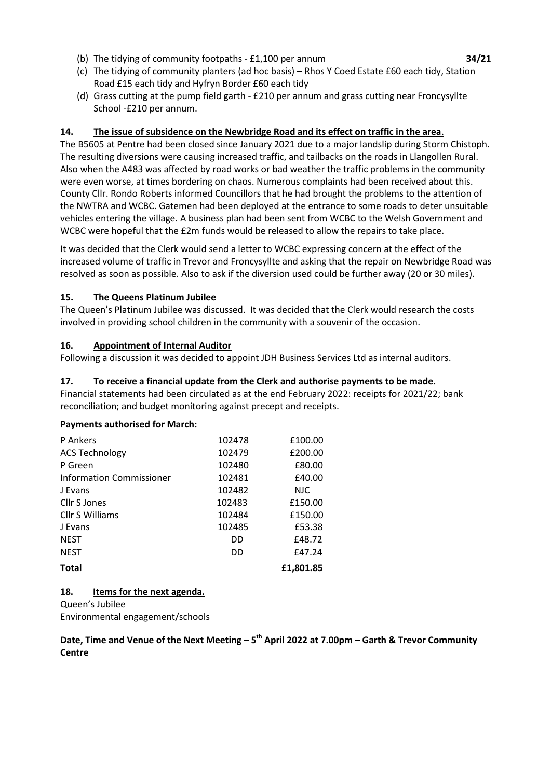- (b) The tidying of community footpaths £1,100 per annum **34/21**
- (c) The tidying of community planters (ad hoc basis) Rhos Y Coed Estate £60 each tidy, Station Road £15 each tidy and Hyfryn Border £60 each tidy
- (d) Grass cutting at the pump field garth £210 per annum and grass cutting near Froncysyllte School -£210 per annum.

## **14. The issue of subsidence on the Newbridge Road and its effect on traffic in the area**.

The B5605 at Pentre had been closed since January 2021 due to a major landslip during Storm Chistoph. The resulting diversions were causing increased traffic, and tailbacks on the roads in Llangollen Rural. Also when the A483 was affected by road works or bad weather the traffic problems in the community were even worse, at times bordering on chaos. Numerous complaints had been received about this. County Cllr. Rondo Roberts informed Councillors that he had brought the problems to the attention of the NWTRA and WCBC. Gatemen had been deployed at the entrance to some roads to deter unsuitable vehicles entering the village. A business plan had been sent from WCBC to the Welsh Government and WCBC were hopeful that the £2m funds would be released to allow the repairs to take place.

It was decided that the Clerk would send a letter to WCBC expressing concern at the effect of the increased volume of traffic in Trevor and Froncysyllte and asking that the repair on Newbridge Road was resolved as soon as possible. Also to ask if the diversion used could be further away (20 or 30 miles).

# **15. The Queens Platinum Jubilee**

The Queen's Platinum Jubilee was discussed. It was decided that the Clerk would research the costs involved in providing school children in the community with a souvenir of the occasion.

## **16. Appointment of Internal Auditor**

Following a discussion it was decided to appoint JDH Business Services Ltd as internal auditors.

## **17. To receive a financial update from the Clerk and authorise payments to be made.**

Financial statements had been circulated as at the end February 2022: receipts for 2021/22; bank reconciliation; and budget monitoring against precept and receipts.

## **Payments authorised for March:**

| P Ankers                 | 102478 | £100.00    |
|--------------------------|--------|------------|
| <b>ACS Technology</b>    | 102479 | £200.00    |
| P Green                  | 102480 | £80.00     |
| Information Commissioner | 102481 | £40.00     |
| J Evans                  | 102482 | <b>NJC</b> |
| Cllr S Jones             | 102483 | £150.00    |
| Cllr S Williams          | 102484 | £150.00    |
| J Evans                  | 102485 | £53.38     |
| <b>NEST</b>              | DD     | £48.72     |
| <b>NEST</b>              | DD     | £47.24     |
| <b>Total</b>             |        | £1.801.85  |

## **18. Items for the next agenda.**

Queen's Jubilee

Environmental engagement/schools

**Date, Time and Venue of the Next Meeting – 5 th April 2022 at 7.00pm – Garth & Trevor Community Centre**